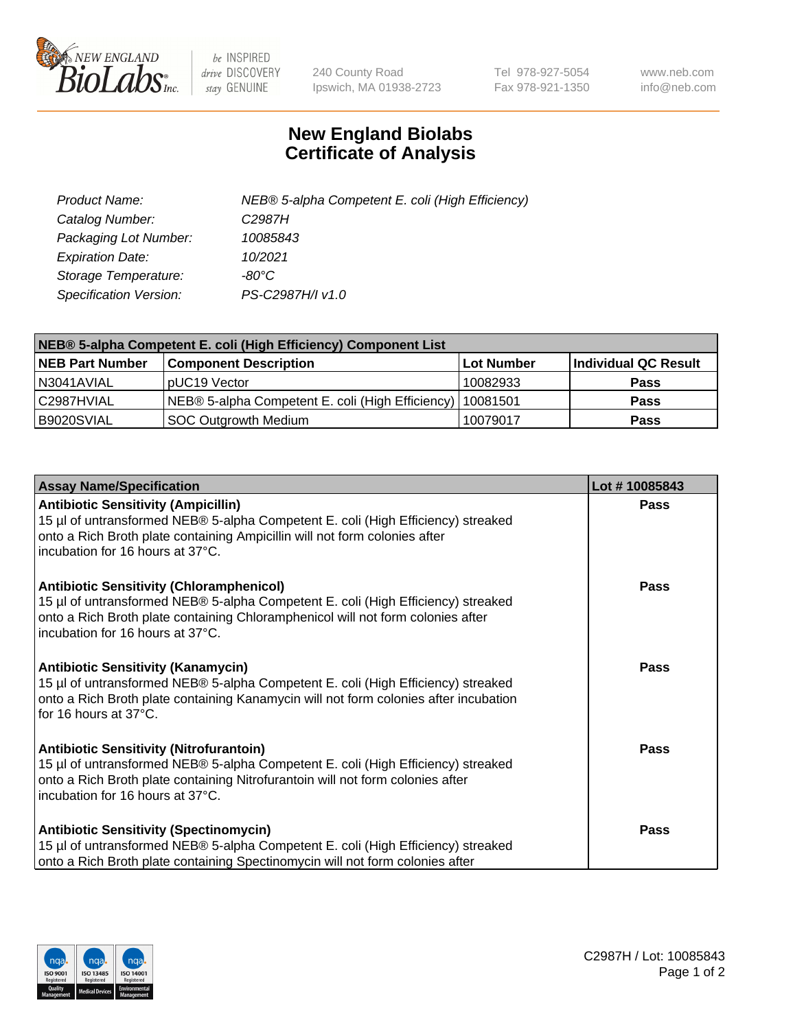

 $be$  INSPIRED drive DISCOVERY stay GENUINE

240 County Road Ipswich, MA 01938-2723 Tel 978-927-5054 Fax 978-921-1350 www.neb.com info@neb.com

## **New England Biolabs Certificate of Analysis**

| Product Name:           | NEB® 5-alpha Competent E. coli (High Efficiency) |
|-------------------------|--------------------------------------------------|
| Catalog Number:         | C <sub>2987</sub> H                              |
| Packaging Lot Number:   | 10085843                                         |
| <b>Expiration Date:</b> | 10/2021                                          |
| Storage Temperature:    | -80°C                                            |
| Specification Version:  | PS-C2987H/I v1.0                                 |

| NEB® 5-alpha Competent E. coli (High Efficiency) Component List |                                                             |            |                      |  |
|-----------------------------------------------------------------|-------------------------------------------------------------|------------|----------------------|--|
| <b>NEB Part Number</b>                                          | <b>Component Description</b>                                | Lot Number | Individual QC Result |  |
| N3041AVIAL                                                      | pUC19 Vector                                                | 10082933   | <b>Pass</b>          |  |
| C2987HVIAL                                                      | NEB® 5-alpha Competent E. coli (High Efficiency)   10081501 |            | <b>Pass</b>          |  |
| B9020SVIAL                                                      | SOC Outgrowth Medium                                        | 10079017   | <b>Pass</b>          |  |

| <b>Assay Name/Specification</b>                                                                                                                                                                                                                            | Lot #10085843 |
|------------------------------------------------------------------------------------------------------------------------------------------------------------------------------------------------------------------------------------------------------------|---------------|
| <b>Antibiotic Sensitivity (Ampicillin)</b><br>15 µl of untransformed NEB® 5-alpha Competent E. coli (High Efficiency) streaked<br>onto a Rich Broth plate containing Ampicillin will not form colonies after<br>incubation for 16 hours at 37°C.           | <b>Pass</b>   |
| <b>Antibiotic Sensitivity (Chloramphenicol)</b><br>15 µl of untransformed NEB® 5-alpha Competent E. coli (High Efficiency) streaked<br>onto a Rich Broth plate containing Chloramphenicol will not form colonies after<br>incubation for 16 hours at 37°C. | Pass          |
| <b>Antibiotic Sensitivity (Kanamycin)</b><br>15 µl of untransformed NEB® 5-alpha Competent E. coli (High Efficiency) streaked<br>onto a Rich Broth plate containing Kanamycin will not form colonies after incubation<br>for 16 hours at 37°C.             | <b>Pass</b>   |
| <b>Antibiotic Sensitivity (Nitrofurantoin)</b><br>15 µl of untransformed NEB® 5-alpha Competent E. coli (High Efficiency) streaked<br>onto a Rich Broth plate containing Nitrofurantoin will not form colonies after<br>incubation for 16 hours at 37°C.   | Pass          |
| <b>Antibiotic Sensitivity (Spectinomycin)</b><br>15 µl of untransformed NEB® 5-alpha Competent E. coli (High Efficiency) streaked<br>onto a Rich Broth plate containing Spectinomycin will not form colonies after                                         | Pass          |